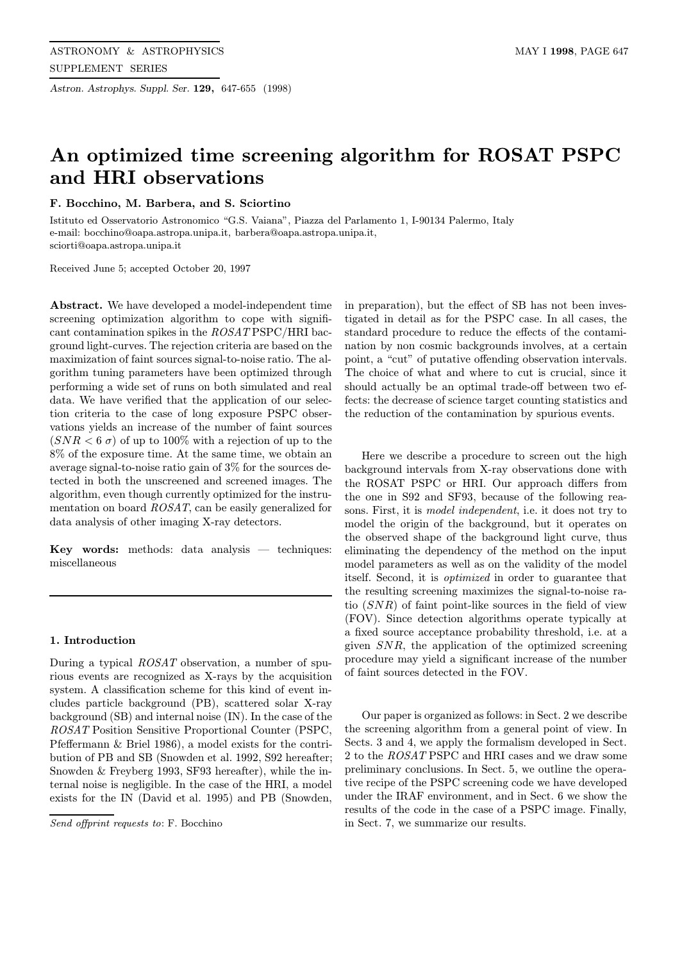Astron. Astrophys. Suppl. Ser. 129, 647-655 (1998)

# An optimized time screening algorithm for ROSAT PSPC and HRI observations

# F. Bocchino, M. Barbera, and S. Sciortino

Istituto ed Osservatorio Astronomico "G.S. Vaiana", Piazza del Parlamento 1, I-90134 Palermo, Italy e-mail: bocchino@oapa.astropa.unipa.it, barbera@oapa.astropa.unipa.it, sciorti@oapa.astropa.unipa.it

Received June 5; accepted October 20, 1997

Abstract. We have developed a model-independent time screening optimization algorithm to cope with significant contamination spikes in the ROSAT PSPC/HRI bacground light-curves. The rejection criteria are based on the maximization of faint sources signal-to-noise ratio. The algorithm tuning parameters have been optimized through performing a wide set of runs on both simulated and real data. We have verified that the application of our selection criteria to the case of long exposure PSPC observations yields an increase of the number of faint sources  $(SNR < 6 \sigma)$  of up to 100% with a rejection of up to the 8% of the exposure time. At the same time, we obtain an average signal-to-noise ratio gain of 3% for the sources detected in both the unscreened and screened images. The algorithm, even though currently optimized for the instrumentation on board ROSAT, can be easily generalized for data analysis of other imaging X-ray detectors.

**Key words:** methods: data analysis  $-$  techniques: miscellaneous

### 1. Introduction

During a typical ROSAT observation, a number of spurious events are recognized as X-rays by the acquisition system. A classification scheme for this kind of event includes particle background (PB), scattered solar X-ray background (SB) and internal noise (IN). In the case of the ROSAT Position Sensitive Proportional Counter (PSPC, Pfeffermann & Briel 1986), a model exists for the contribution of PB and SB (Snowden et al. 1992, S92 hereafter; Snowden & Freyberg 1993, SF93 hereafter), while the internal noise is negligible. In the case of the HRI, a model exists for the IN (David et al. 1995) and PB (Snowden,

Send offprint requests to: F. Bocchino

in preparation), but the effect of SB has not been investigated in detail as for the PSPC case. In all cases, the standard procedure to reduce the effects of the contamination by non cosmic backgrounds involves, at a certain point, a "cut" of putative offending observation intervals. The choice of what and where to cut is crucial, since it should actually be an optimal trade-off between two effects: the decrease of science target counting statistics and the reduction of the contamination by spurious events.

Here we describe a procedure to screen out the high background intervals from X-ray observations done with the ROSAT PSPC or HRI. Our approach differs from the one in S92 and SF93, because of the following reasons. First, it is model independent, i.e. it does not try to model the origin of the background, but it operates on the observed shape of the background light curve, thus eliminating the dependency of the method on the input model parameters as well as on the validity of the model itself. Second, it is optimized in order to guarantee that the resulting screening maximizes the signal-to-noise ratio (SNR) of faint point-like sources in the field of view (FOV). Since detection algorithms operate typically at a fixed source acceptance probability threshold, i.e. at a given SNR, the application of the optimized screening procedure may yield a significant increase of the number of faint sources detected in the FOV.

Our paper is organized as follows: in Sect. 2 we describe the screening algorithm from a general point of view. In Sects. 3 and 4, we apply the formalism developed in Sect. 2 to the ROSAT PSPC and HRI cases and we draw some preliminary conclusions. In Sect. 5, we outline the operative recipe of the PSPC screening code we have developed under the IRAF environment, and in Sect. 6 we show the results of the code in the case of a PSPC image. Finally, in Sect. 7, we summarize our results.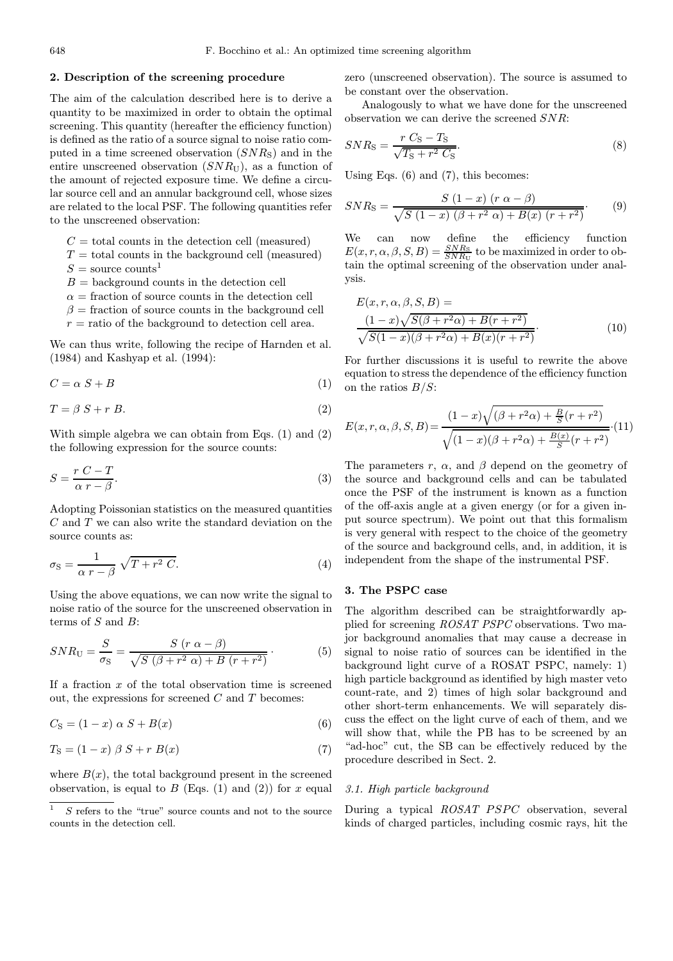# 2. Description of the screening procedure

The aim of the calculation described here is to derive a quantity to be maximized in order to obtain the optimal screening. This quantity (hereafter the efficiency function) is defined as the ratio of a source signal to noise ratio computed in a time screened observation  $(SNR_S)$  and in the entire unscreened observation  $(SNR_U)$ , as a function of the amount of rejected exposure time. We define a circular source cell and an annular background cell, whose sizes are related to the local PSF. The following quantities refer to the unscreened observation:

- $C =$  total counts in the detection cell (measured)
- $T =$  total counts in the background cell (measured)
- $S =$ source counts<sup>1</sup>
- $B =$  background counts in the detection cell
- $\alpha$  = fraction of source counts in the detection cell
- $\beta$  = fraction of source counts in the background cell
- $r =$  ratio of the background to detection cell area.

We can thus write, following the recipe of Harnden et al. (1984) and Kashyap et al. (1994):

$$
C = \alpha S + B \tag{1}
$$

$$
T = \beta S + r B. \tag{2}
$$

With simple algebra we can obtain from Eqs. (1) and (2) the following expression for the source counts:

$$
S = \frac{r C - T}{\alpha r - \beta}.
$$
\n(3)

Adopting Poissonian statistics on the measured quantities C and T we can also write the standard deviation on the source counts as:

$$
\sigma_{\rm S} = \frac{1}{\alpha \, r - \beta} \sqrt{T + r^2 \, C}.\tag{4}
$$

Using the above equations, we can now write the signal to noise ratio of the source for the unscreened observation in terms of  $S$  and  $B$ :

$$
SNR_{\text{U}} = \frac{S}{\sigma_{\text{S}}} = \frac{S (r \alpha - \beta)}{\sqrt{S (\beta + r^2 \alpha) + B (r + r^2)}}.
$$
(5)

If a fraction  $x$  of the total observation time is screened out, the expressions for screened  $C$  and  $T$  becomes:

$$
C_{\rm S} = (1 - x) \alpha S + B(x) \tag{6}
$$

$$
T_{\mathcal{S}} = (1 - x) \beta S + r B(x) \tag{7}
$$

where  $B(x)$ , the total background present in the screened observation, is equal to  $B$  (Eqs. (1) and (2)) for x equal zero (unscreened observation). The source is assumed to be constant over the observation.

Analogously to what we have done for the unscreened observation we can derive the screened SNR:

$$
SNR_{\rm S} = \frac{r\ C_{\rm S} - T_{\rm S}}{\sqrt{T_{\rm S} + r^2\ C_{\rm S}}}.\tag{8}
$$

Using Eqs.  $(6)$  and  $(7)$ , this becomes:

$$
SNR_{\rm S} = \frac{S (1 - x) (r \alpha - \beta)}{\sqrt{S (1 - x) (\beta + r^2 \alpha) + B(x) (r + r^2)}}.
$$
(9)

We can now define the efficiency function  $E(x, r, \alpha, \beta, S, B) = \frac{SNR_S}{SNR_U}$  to be maximized in order to obtain the optimal screening of the observation under analysis.

$$
E(x, r, \alpha, \beta, S, B) =
$$
  
\n
$$
\frac{(1-x)\sqrt{S(\beta + r^2\alpha) + B(r + r^2)}}{\sqrt{S(1-x)(\beta + r^2\alpha) + B(x)(r + r^2)}}.
$$
\n(10)

For further discussions it is useful to rewrite the above equation to stress the dependence of the efficiency function on the ratios  $B/S$ :

$$
E(x, r, \alpha, \beta, S, B) = \frac{(1-x)\sqrt{(\beta + r^2\alpha) + \frac{B}{S}(r+r^2)}}{\sqrt{(1-x)(\beta + r^2\alpha) + \frac{B(x)}{S}(r+r^2)}}.(11)
$$

The parameters r,  $\alpha$ , and  $\beta$  depend on the geometry of the source and background cells and can be tabulated once the PSF of the instrument is known as a function of the off-axis angle at a given energy (or for a given input source spectrum). We point out that this formalism is very general with respect to the choice of the geometry of the source and background cells, and, in addition, it is independent from the shape of the instrumental PSF.

# 3. The PSPC case

The algorithm described can be straightforwardly applied for screening ROSAT PSPC observations. Two major background anomalies that may cause a decrease in signal to noise ratio of sources can be identified in the background light curve of a ROSAT PSPC, namely: 1) high particle background as identified by high master veto count-rate, and 2) times of high solar background and other short-term enhancements. We will separately discuss the effect on the light curve of each of them, and we will show that, while the PB has to be screened by an "ad-hoc" cut, the SB can be effectively reduced by the procedure described in Sect. 2.

#### 3.1. High particle background

During a typical ROSAT PSPC observation, several kinds of charged particles, including cosmic rays, hit the

 $\overline{1}$  S refers to the "true" source counts and not to the source counts in the detection cell.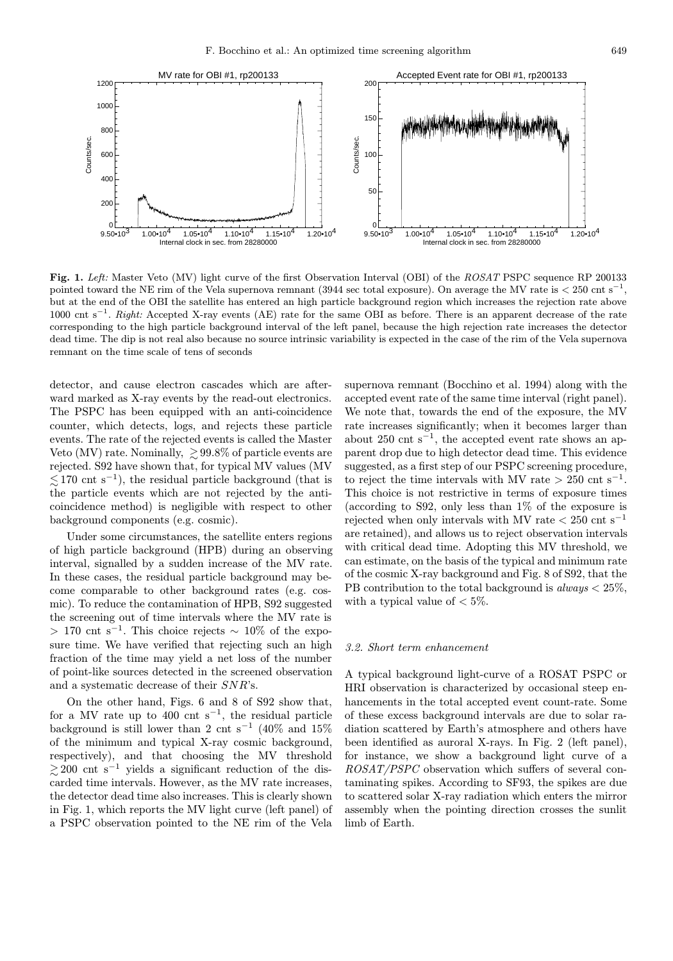

Fig. 1. Left: Master Veto (MV) light curve of the first Observation Interval (OBI) of the ROSAT PSPC sequence RP 200133 pointed toward the NE rim of the Vela supernova remnant (3944 sec total exposure). On average the MV rate is  $\lt 250$  cnt s<sup>−1</sup>, but at the end of the OBI the satellite has entered an high particle background region which increases the rejection rate above 1000 cnt s<sup>−</sup><sup>1</sup>. Right: Accepted X-ray events (AE) rate for the same OBI as before. There is an apparent decrease of the rate corresponding to the high particle background interval of the left panel, because the high rejection rate increases the detector dead time. The dip is not real also because no source intrinsic variability is expected in the case of the rim of the Vela supernova remnant on the time scale of tens of seconds

detector, and cause electron cascades which are afterward marked as X-ray events by the read-out electronics. The PSPC has been equipped with an anti-coincidence counter, which detects, logs, and rejects these particle events. The rate of the rejected events is called the Master Veto (MV) rate. Nominally,  $\geq 99.8\%$  of particle events are rejected. S92 have shown that, for typical MV values (MV  $\lesssim$ 170 cnt s<sup>-1</sup>), the residual particle background (that is the particle events which are not rejected by the anticoincidence method) is negligible with respect to other background components (e.g. cosmic).

Under some circumstances, the satellite enters regions of high particle background (HPB) during an observing interval, signalled by a sudden increase of the MV rate. In these cases, the residual particle background may become comparable to other background rates (e.g. cosmic). To reduce the contamination of HPB, S92 suggested the screening out of time intervals where the MV rate is > 170 cnt s<sup>−1</sup>. This choice rejects  $\sim 10\%$  of the exposure time. We have verified that rejecting such an high fraction of the time may yield a net loss of the number of point-like sources detected in the screened observation and a systematic decrease of their SNR's.

On the other hand, Figs. 6 and 8 of S92 show that, for a MV rate up to 400 cnt s<sup>-1</sup>, the residual particle background is still lower than 2 cnt s<sup>-1</sup> (40% and 15% of the minimum and typical X-ray cosmic background, respectively), and that choosing the MV threshold  $\geq$  200 cnt s<sup>-1</sup> yields a significant reduction of the discarded time intervals. However, as the MV rate increases, the detector dead time also increases. This is clearly shown in Fig. 1, which reports the MV light curve (left panel) of a PSPC observation pointed to the NE rim of the Vela

supernova remnant (Bocchino et al. 1994) along with the accepted event rate of the same time interval (right panel). We note that, towards the end of the exposure, the MV rate increases significantly; when it becomes larger than about 250 cnt s<sup>−1</sup>, the accepted event rate shows an apparent drop due to high detector dead time. This evidence suggested, as a first step of our PSPC screening procedure, to reject the time intervals with MV rate > 250 cnt s<sup>-1</sup>. This choice is not restrictive in terms of exposure times (according to S92, only less than 1% of the exposure is rejected when only intervals with MV rate  $\lt$  250 cnt s<sup>-1</sup> are retained), and allows us to reject observation intervals with critical dead time. Adopting this MV threshold, we can estimate, on the basis of the typical and minimum rate of the cosmic X-ray background and Fig. 8 of S92, that the PB contribution to the total background is  $always < 25\%,$ with a typical value of  $< 5\%$ .

## 3.2. Short term enhancement

A typical background light-curve of a ROSAT PSPC or HRI observation is characterized by occasional steep enhancements in the total accepted event count-rate. Some of these excess background intervals are due to solar radiation scattered by Earth's atmosphere and others have been identified as auroral X-rays. In Fig. 2 (left panel), for instance, we show a background light curve of a ROSAT/PSPC observation which suffers of several contaminating spikes. According to SF93, the spikes are due to scattered solar X-ray radiation which enters the mirror assembly when the pointing direction crosses the sunlit limb of Earth.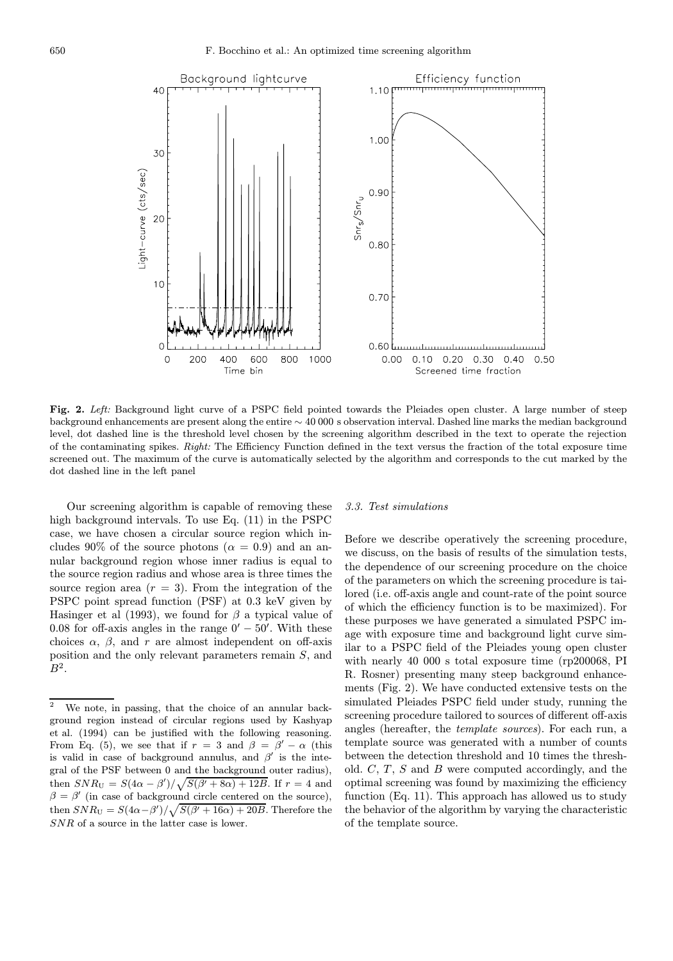

Fig. 2. Left: Background light curve of a PSPC field pointed towards the Pleiades open cluster. A large number of steep background enhancements are present along the entire ∼ 40 000 s observation interval. Dashed line marks the median background level, dot dashed line is the threshold level chosen by the screening algorithm described in the text to operate the rejection of the contaminating spikes. Right: The Efficiency Function defined in the text versus the fraction of the total exposure time screened out. The maximum of the curve is automatically selected by the algorithm and corresponds to the cut marked by the dot dashed line in the left panel

Our screening algorithm is capable of removing these high background intervals. To use Eq. (11) in the PSPC case, we have chosen a circular source region which includes 90% of the source photons ( $\alpha = 0.9$ ) and an annular background region whose inner radius is equal to the source region radius and whose area is three times the source region area  $(r = 3)$ . From the integration of the PSPC point spread function (PSF) at 0.3 keV given by Hasinger et al (1993), we found for  $\beta$  a typical value of 0.08 for off-axis angles in the range  $0' - 50'$ . With these choices  $\alpha$ ,  $\beta$ , and r are almost independent on off-axis position and the only relevant parameters remain S, and  $B^2$ .

#### 3.3. Test simulations

Before we describe operatively the screening procedure, we discuss, on the basis of results of the simulation tests, the dependence of our screening procedure on the choice of the parameters on which the screening procedure is tailored (i.e. off-axis angle and count-rate of the point source of which the efficiency function is to be maximized). For these purposes we have generated a simulated PSPC image with exposure time and background light curve similar to a PSPC field of the Pleiades young open cluster with nearly 40 000 s total exposure time (rp200068, PI R. Rosner) presenting many steep background enhancements (Fig. 2). We have conducted extensive tests on the simulated Pleiades PSPC field under study, running the screening procedure tailored to sources of different off-axis angles (hereafter, the template sources). For each run, a template source was generated with a number of counts between the detection threshold and 10 times the threshold.  $C, T, S$  and  $B$  were computed accordingly, and the optimal screening was found by maximizing the efficiency function (Eq. 11). This approach has allowed us to study the behavior of the algorithm by varying the characteristic of the template source.

 $\overline{2}$  We note, in passing, that the choice of an annular background region instead of circular regions used by Kashyap et al. (1994) can be justified with the following reasoning. From Eq. (5), we see that if  $r = 3$  and  $\beta = \beta' - \alpha$  (this is valid in case of background annulus, and  $\beta'$  is the integral of the PSF between 0 and the background outer radius), then  $SNR_U = S(4\alpha - \beta')/\sqrt{S(\beta' + 8\alpha) + 12B}$ . If  $r = 4$  and  $\beta = \beta'$  (in case of background circle centered on the source), then  $SNR_{\text{U}} = S(4\alpha - \beta')/\sqrt{S(\beta' + 16\alpha) + 20B}$ . Therefore the SNR of a source in the latter case is lower.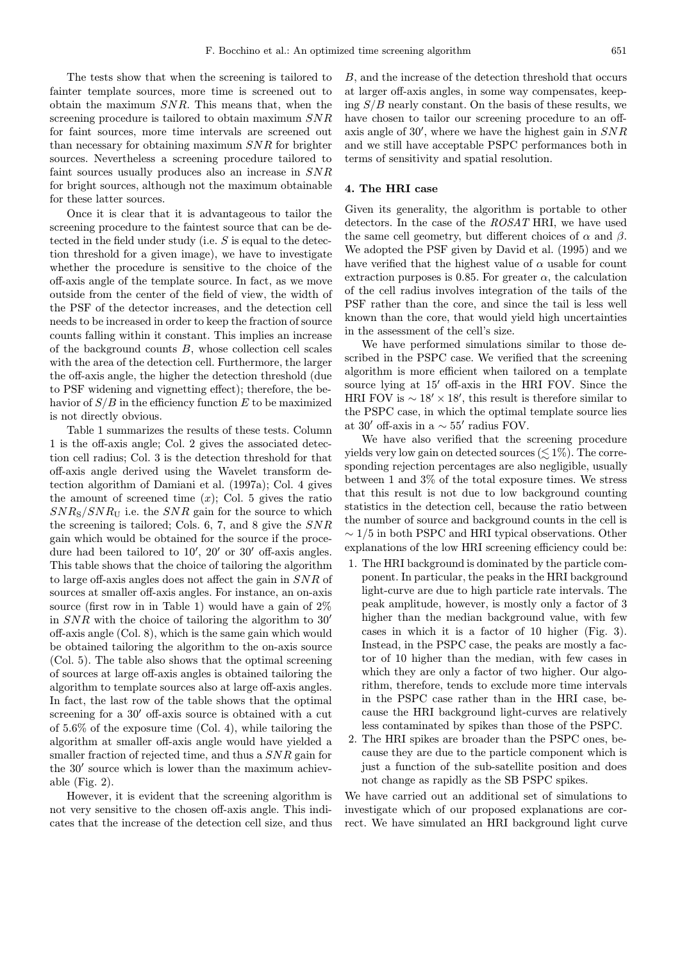The tests show that when the screening is tailored to fainter template sources, more time is screened out to obtain the maximum SNR. This means that, when the screening procedure is tailored to obtain maximum SNR for faint sources, more time intervals are screened out than necessary for obtaining maximum SNR for brighter sources. Nevertheless a screening procedure tailored to faint sources usually produces also an increase in SNR for bright sources, although not the maximum obtainable for these latter sources.

Once it is clear that it is advantageous to tailor the screening procedure to the faintest source that can be detected in the field under study (i.e. S is equal to the detection threshold for a given image), we have to investigate whether the procedure is sensitive to the choice of the off-axis angle of the template source. In fact, as we move outside from the center of the field of view, the width of the PSF of the detector increases, and the detection cell needs to be increased in order to keep the fraction of source counts falling within it constant. This implies an increase of the background counts  $B$ , whose collection cell scales with the area of the detection cell. Furthermore, the larger the off-axis angle, the higher the detection threshold (due to PSF widening and vignetting effect); therefore, the behavior of  $S/B$  in the efficiency function E to be maximized is not directly obvious.

Table 1 summarizes the results of these tests. Column 1 is the off-axis angle; Col. 2 gives the associated detection cell radius; Col. 3 is the detection threshold for that off-axis angle derived using the Wavelet transform detection algorithm of Damiani et al. (1997a); Col. 4 gives the amount of screened time  $(x)$ ; Col. 5 gives the ratio  $SNR<sub>S</sub>/SNR<sub>U</sub>$  i.e. the SNR gain for the source to which the screening is tailored; Cols. 6, 7, and 8 give the SNR gain which would be obtained for the source if the procedure had been tailored to  $10'$ ,  $20'$  or  $30'$  off-axis angles. This table shows that the choice of tailoring the algorithm to large off-axis angles does not affect the gain in SNR of sources at smaller off-axis angles. For instance, an on-axis source (first row in in Table 1) would have a gain of  $2\%$ in  $SNR$  with the choice of tailoring the algorithm to 30' off-axis angle (Col. 8), which is the same gain which would be obtained tailoring the algorithm to the on-axis source (Col. 5). The table also shows that the optimal screening of sources at large off-axis angles is obtained tailoring the algorithm to template sources also at large off-axis angles. In fact, the last row of the table shows that the optimal screening for a  $30'$  off-axis source is obtained with a cut of 5.6% of the exposure time (Col. 4), while tailoring the algorithm at smaller off-axis angle would have yielded a smaller fraction of rejected time, and thus a SNR gain for the  $30'$  source which is lower than the maximum achievable (Fig.  $2$ ).

However, it is evident that the screening algorithm is not very sensitive to the chosen off-axis angle. This indicates that the increase of the detection cell size, and thus

B, and the increase of the detection threshold that occurs at larger off-axis angles, in some way compensates, keeping  $S/B$  nearly constant. On the basis of these results, we have chosen to tailor our screening procedure to an offaxis angle of  $30'$ , where we have the highest gain in  $SNR$ and we still have acceptable PSPC performances both in terms of sensitivity and spatial resolution.

# 4. The HRI case

Given its generality, the algorithm is portable to other detectors. In the case of the ROSAT HRI, we have used the same cell geometry, but different choices of  $\alpha$  and  $\beta$ . We adopted the PSF given by David et al. (1995) and we have verified that the highest value of  $\alpha$  usable for count extraction purposes is 0.85. For greater  $\alpha$ , the calculation of the cell radius involves integration of the tails of the PSF rather than the core, and since the tail is less well known than the core, that would yield high uncertainties in the assessment of the cell's size.

We have performed simulations similar to those described in the PSPC case. We verified that the screening algorithm is more efficient when tailored on a template source lying at 15' off-axis in the HRI FOV. Since the HRI FOV is  $\sim 18' \times 18'$ , this result is therefore similar to the PSPC case, in which the optimal template source lies at 30' off-axis in a  $\sim 55'$  radius FOV.

We have also verified that the screening procedure yields very low gain on detected sources ( $\lesssim 1\%$ ). The corresponding rejection percentages are also negligible, usually between 1 and 3% of the total exposure times. We stress that this result is not due to low background counting statistics in the detection cell, because the ratio between the number of source and background counts in the cell is  $\sim$  1/5 in both PSPC and HRI typical observations. Other explanations of the low HRI screening efficiency could be:

- 1. The HRI background is dominated by the particle component. In particular, the peaks in the HRI background light-curve are due to high particle rate intervals. The peak amplitude, however, is mostly only a factor of 3 higher than the median background value, with few cases in which it is a factor of 10 higher (Fig. 3). Instead, in the PSPC case, the peaks are mostly a factor of 10 higher than the median, with few cases in which they are only a factor of two higher. Our algorithm, therefore, tends to exclude more time intervals in the PSPC case rather than in the HRI case, because the HRI background light-curves are relatively less contaminated by spikes than those of the PSPC.
- 2. The HRI spikes are broader than the PSPC ones, because they are due to the particle component which is just a function of the sub-satellite position and does not change as rapidly as the SB PSPC spikes.

We have carried out an additional set of simulations to investigate which of our proposed explanations are correct. We have simulated an HRI background light curve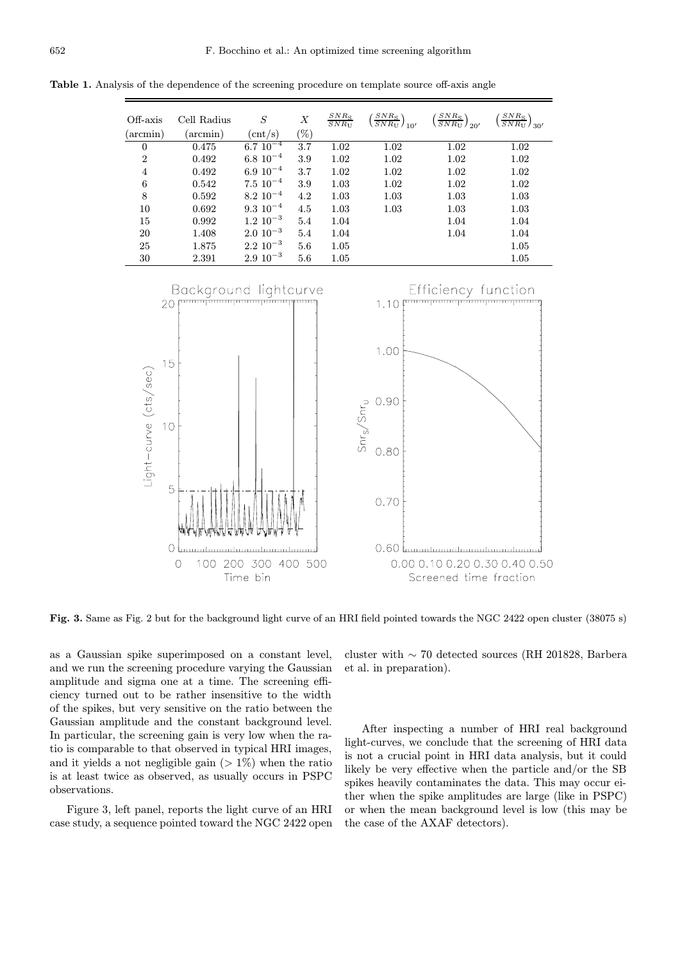| Off-axis<br>(arcmin) | Cell Radius<br>(arcmin) | S<br>$\mathrm{cnt}/\mathrm{s}$ | $\boldsymbol{X}$<br>'%) | $SNR_{\rm S}$<br>$SNR_{\text{U}}$ | $SNR_{\rm S}$<br>$\sqrt{SNR_{\rm U}}$ / $_{10'}$ | $SNR_{\rm S}$<br>$\overline{SNR_{\text{U}}}$ ) <sub>20</sub> | $SNR_{\rm S}$<br>$\overline{SNR}_{\rm U}$ / $_{30'}$ |
|----------------------|-------------------------|--------------------------------|-------------------------|-----------------------------------|--------------------------------------------------|--------------------------------------------------------------|------------------------------------------------------|
| $\theta$             | 0.475                   | $6.7~10^{-4}$                  | 3.7                     | 1.02                              | 1.02                                             | 1.02                                                         | 1.02                                                 |
| $\overline{2}$       | 0.492                   | $6.8~10^{-4}$                  | 3.9                     | 1.02                              | 1.02                                             | 1.02                                                         | 1.02                                                 |
| 4                    | 0.492                   | $6.910^{-4}$                   | 3.7                     | 1.02                              | 1.02                                             | 1.02                                                         | 1.02                                                 |
| 6                    | 0.542                   | $7.5 \, 10^{-4}$               | 3.9                     | 1.03                              | 1.02                                             | 1.02                                                         | 1.02                                                 |
| 8                    | 0.592                   | $8.2 10^{-4}$                  | 4.2                     | 1.03                              | 1.03                                             | 1.03                                                         | 1.03                                                 |
| 10                   | 0.692                   | $9.3 \; 10^{-4}$               | 4.5                     | 1.03                              | 1.03                                             | 1.03                                                         | 1.03                                                 |
| 15                   | 0.992                   | $1.2 \, 10^{-3}$               | 5.4                     | 1.04                              |                                                  | 1.04                                                         | 1.04                                                 |
| 20                   | 1.408                   | $2.0 \, 10^{-3}$               | 5.4                     | 1.04                              |                                                  | 1.04                                                         | 1.04                                                 |
| 25                   | 1.875                   | $2.2 \, 10^{-3}$               | 5.6                     | 1.05                              |                                                  |                                                              | 1.05                                                 |
| 30                   | 2.391                   | $2.9 10^{-3}$                  | 5.6                     | 1.05                              |                                                  |                                                              | 1.05                                                 |

Table 1. Analysis of the dependence of the screening procedure on template source off-axis angle



Fig. 3. Same as Fig. 2 but for the background light curve of an HRI field pointed towards the NGC 2422 open cluster (38075 s)

as a Gaussian spike superimposed on a constant level, and we run the screening procedure varying the Gaussian amplitude and sigma one at a time. The screening efficiency turned out to be rather insensitive to the width of the spikes, but very sensitive on the ratio between the Gaussian amplitude and the constant background level. In particular, the screening gain is very low when the ratio is comparable to that observed in typical HRI images, and it yields a not negligible gain  $(1\%)$  when the ratio is at least twice as observed, as usually occurs in PSPC observations.

Figure 3, left panel, reports the light curve of an HRI case study, a sequence pointed toward the NGC 2422 open cluster with ∼ 70 detected sources (RH 201828, Barbera et al. in preparation).

After inspecting a number of HRI real background light-curves, we conclude that the screening of HRI data is not a crucial point in HRI data analysis, but it could likely be very effective when the particle and/or the SB spikes heavily contaminates the data. This may occur either when the spike amplitudes are large (like in PSPC) or when the mean background level is low (this may be the case of the AXAF detectors).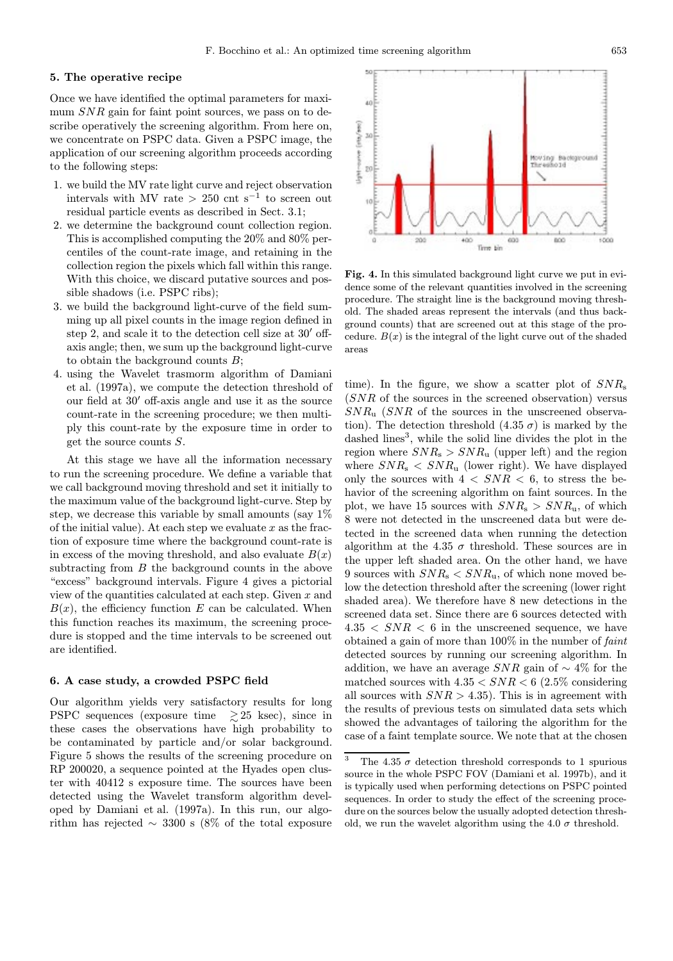## 5. The operative recipe

Once we have identified the optimal parameters for maximum  $SNR$  gain for faint point sources, we pass on to describe operatively the screening algorithm. From here on, we concentrate on PSPC data. Given a PSPC image, the application of our screening algorithm proceeds according to the following steps:

- 1. we build the MV rate light curve and reject observation intervals with MV rate > 250 cnt s<sup>-1</sup> to screen out residual particle events as described in Sect. 3.1;
- 2. we determine the background count collection region. This is accomplished computing the 20% and 80% percentiles of the count-rate image, and retaining in the collection region the pixels which fall within this range. With this choice, we discard putative sources and possible shadows (i.e. PSPC ribs);
- 3. we build the background light-curve of the field summing up all pixel counts in the image region defined in step 2, and scale it to the detection cell size at  $30'$  offaxis angle; then, we sum up the background light-curve to obtain the background counts B;
- 4. using the Wavelet trasmorm algorithm of Damiani et al. (1997a), we compute the detection threshold of our field at  $30'$  off-axis angle and use it as the source count-rate in the screening procedure; we then multiply this count-rate by the exposure time in order to get the source counts S.

At this stage we have all the information necessary to run the screening procedure. We define a variable that we call background moving threshold and set it initially to the maximum value of the background light-curve. Step by step, we decrease this variable by small amounts (say 1% of the initial value). At each step we evaluate  $x$  as the fraction of exposure time where the background count-rate is in excess of the moving threshold, and also evaluate  $B(x)$ subtracting from  $B$  the background counts in the above "excess" background intervals. Figure 4 gives a pictorial view of the quantities calculated at each step. Given  $x$  and  $B(x)$ , the efficiency function E can be calculated. When this function reaches its maximum, the screening procedure is stopped and the time intervals to be screened out are identified.

## 6. A case study, a crowded PSPC field

Our algorithm yields very satisfactory results for long PSPC sequences (exposure time  $\geq 25$  ksec), since in these cases the observations have high probability to be contaminated by particle and/or solar background. Figure 5 shows the results of the screening procedure on RP 200020, a sequence pointed at the Hyades open cluster with 40412 s exposure time. The sources have been detected using the Wavelet transform algorithm developed by Damiani et al. (1997a). In this run, our algorithm has rejected  $\sim$  3300 s (8% of the total exposure



Fig. 4. In this simulated background light curve we put in evidence some of the relevant quantities involved in the screening procedure. The straight line is the background moving threshold. The shaded areas represent the intervals (and thus background counts) that are screened out at this stage of the procedure.  $B(x)$  is the integral of the light curve out of the shaded areas

time). In the figure, we show a scatter plot of  $SNR_s$ (SNR of the sources in the screened observation) versus  $SNR_u$  (SNR of the sources in the unscreened observation). The detection threshold  $(4.35 \sigma)$  is marked by the dashed lines<sup>3</sup>, while the solid line divides the plot in the region where  $SNR_s$  >  $SNR_u$  (upper left) and the region where  $SNR_s < SNR_u$  (lower right). We have displayed only the sources with  $4 < SNR < 6$ , to stress the behavior of the screening algorithm on faint sources. In the plot, we have 15 sources with  $SNR_s > SNR_u$ , of which 8 were not detected in the unscreened data but were detected in the screened data when running the detection algorithm at the 4.35  $\sigma$  threshold. These sources are in the upper left shaded area. On the other hand, we have 9 sources with  $SNR_s < SNR_u$ , of which none moved below the detection threshold after the screening (lower right shaded area). We therefore have 8 new detections in the screened data set. Since there are 6 sources detected with  $4.35 < SNR < 6$  in the unscreened sequence, we have obtained a gain of more than 100% in the number of faint detected sources by running our screening algorithm. In addition, we have an average  $SNR$  gain of  $\sim 4\%$  for the matched sources with  $4.35 < SNR < 6$  (2.5% considering all sources with  $SNR > 4.35$ . This is in agreement with the results of previous tests on simulated data sets which showed the advantages of tailoring the algorithm for the case of a faint template source. We note that at the chosen

<sup>&</sup>lt;sup>3</sup> The 4.35  $\sigma$  detection threshold corresponds to 1 spurious source in the whole PSPC FOV (Damiani et al. 1997b), and it is typically used when performing detections on PSPC pointed sequences. In order to study the effect of the screening procedure on the sources below the usually adopted detection threshold, we run the wavelet algorithm using the 4.0  $\sigma$  threshold.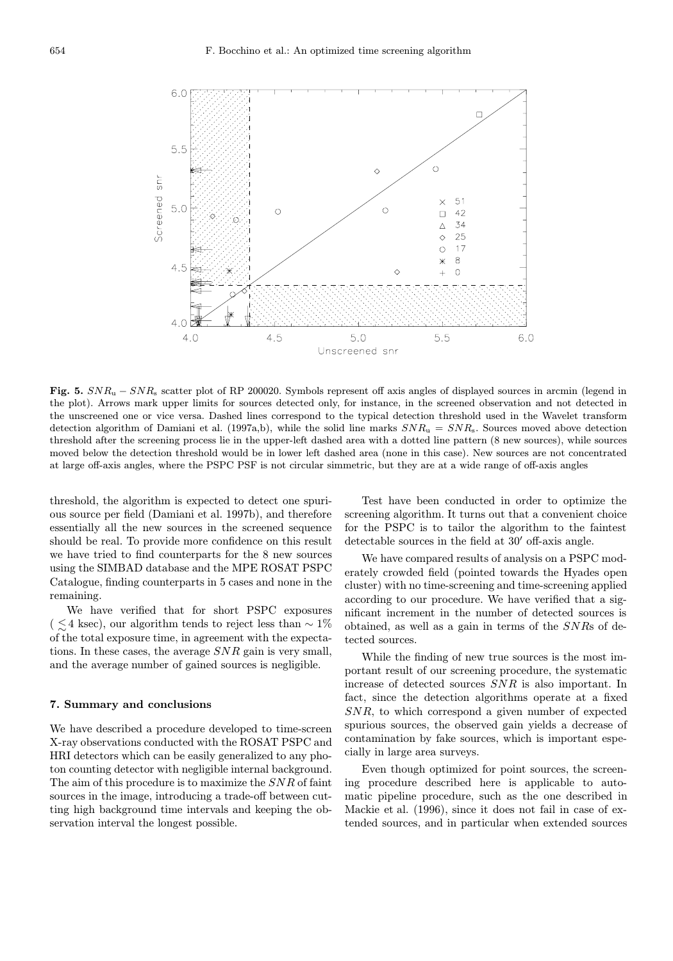

Fig. 5.  $SNR_u - SNR_s$  scatter plot of RP 200020. Symbols represent off axis angles of displayed sources in arcmin (legend in the plot). Arrows mark upper limits for sources detected only, for instance, in the screened observation and not detected in the unscreened one or vice versa. Dashed lines correspond to the typical detection threshold used in the Wavelet transform detection algorithm of Damiani et al. (1997a,b), while the solid line marks  $SNR_u = SNR_s$ . Sources moved above detection threshold after the screening process lie in the upper-left dashed area with a dotted line pattern (8 new sources), while sources moved below the detection threshold would be in lower left dashed area (none in this case). New sources are not concentrated at large off-axis angles, where the PSPC PSF is not circular simmetric, but they are at a wide range of off-axis angles

threshold, the algorithm is expected to detect one spurious source per field (Damiani et al. 1997b), and therefore essentially all the new sources in the screened sequence should be real. To provide more confidence on this result we have tried to find counterparts for the 8 new sources using the SIMBAD database and the MPE ROSAT PSPC Catalogue, finding counterparts in 5 cases and none in the remaining.

We have verified that for short PSPC exposures (  $\leq$  4 ksec), our algorithm tends to reject less than  $\sim$  1% of the total exposure time, in agreement with the expectations. In these cases, the average SNR gain is very small, and the average number of gained sources is negligible.

#### 7. Summary and conclusions

We have described a procedure developed to time-screen X-ray observations conducted with the ROSAT PSPC and HRI detectors which can be easily generalized to any photon counting detector with negligible internal background. The aim of this procedure is to maximize the SNR of faint sources in the image, introducing a trade-off between cutting high background time intervals and keeping the observation interval the longest possible.

Test have been conducted in order to optimize the screening algorithm. It turns out that a convenient choice for the PSPC is to tailor the algorithm to the faintest detectable sources in the field at  $30'$  off-axis angle.

We have compared results of analysis on a PSPC moderately crowded field (pointed towards the Hyades open cluster) with no time-screening and time-screening applied according to our procedure. We have verified that a significant increment in the number of detected sources is obtained, as well as a gain in terms of the SNRs of detected sources.

While the finding of new true sources is the most important result of our screening procedure, the systematic increase of detected sources SNR is also important. In fact, since the detection algorithms operate at a fixed SNR, to which correspond a given number of expected spurious sources, the observed gain yields a decrease of contamination by fake sources, which is important especially in large area surveys.

Even though optimized for point sources, the screening procedure described here is applicable to automatic pipeline procedure, such as the one described in Mackie et al. (1996), since it does not fail in case of extended sources, and in particular when extended sources